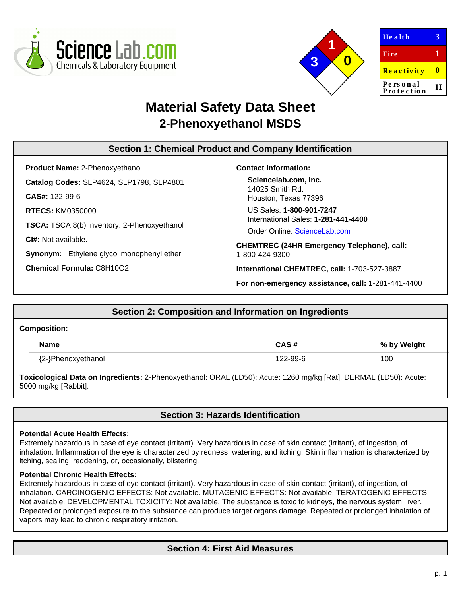



| Health                 | З |
|------------------------|---|
| Fire                   | 1 |
| <b>Reactivity</b>      | o |
| Personal<br>Protection | Ħ |
|                        |   |

# **Material Safety Data Sheet 2-Phenoxyethanol MSDS**

# **Section 1: Chemical Product and Company Identification**

**Product Name:** 2-Phenoxyethanol **Catalog Codes:** SLP4624, SLP1798, SLP4801 **CAS#:** 122-99-6 **RTECS:** KM0350000 **TSCA:** TSCA 8(b) inventory: 2-Phenoxyethanol **CI#:** Not available. **Synonym:** Ethylene glycol monophenyl ether **Chemical Formula:** C8H10O2

#### **Contact Information:**

**Sciencelab.com, Inc.** 14025 Smith Rd. Houston, Texas 77396

US Sales: **1-800-901-7247** International Sales: **1-281-441-4400**

Order Online: [ScienceLab.com](http://www.sciencelab.com/)

**CHEMTREC (24HR Emergency Telephone), call:** 1-800-424-9300

**International CHEMTREC, call:** 1-703-527-3887

**For non-emergency assistance, call:** 1-281-441-4400

# **Section 2: Composition and Information on Ingredients**

#### **Composition:**

| <b>Name</b>        | CAS #    | % by Weight |
|--------------------|----------|-------------|
| {2-}Phenoxyethanol | 122-99-6 | 100         |

**Toxicological Data on Ingredients:** 2-Phenoxyethanol: ORAL (LD50): Acute: 1260 mg/kg [Rat]. DERMAL (LD50): Acute: 5000 mg/kg [Rabbit].

# **Section 3: Hazards Identification**

### **Potential Acute Health Effects:**

Extremely hazardous in case of eye contact (irritant). Very hazardous in case of skin contact (irritant), of ingestion, of inhalation. Inflammation of the eye is characterized by redness, watering, and itching. Skin inflammation is characterized by itching, scaling, reddening, or, occasionally, blistering.

#### **Potential Chronic Health Effects:**

Extremely hazardous in case of eye contact (irritant). Very hazardous in case of skin contact (irritant), of ingestion, of inhalation. CARCINOGENIC EFFECTS: Not available. MUTAGENIC EFFECTS: Not available. TERATOGENIC EFFECTS: Not available. DEVELOPMENTAL TOXICITY: Not available. The substance is toxic to kidneys, the nervous system, liver. Repeated or prolonged exposure to the substance can produce target organs damage. Repeated or prolonged inhalation of vapors may lead to chronic respiratory irritation.

# **Section 4: First Aid Measures**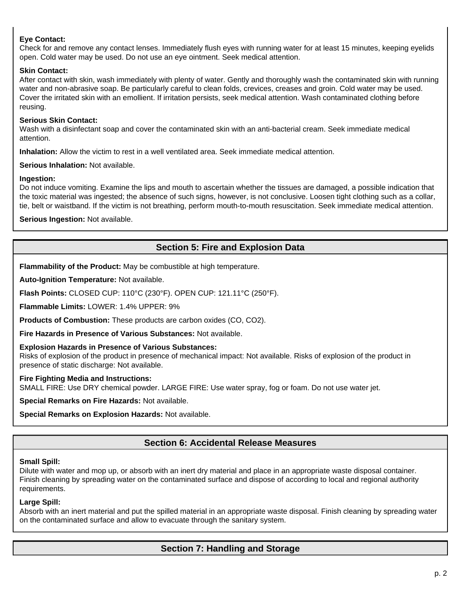### **Eye Contact:**

Check for and remove any contact lenses. Immediately flush eyes with running water for at least 15 minutes, keeping eyelids open. Cold water may be used. Do not use an eye ointment. Seek medical attention.

### **Skin Contact:**

After contact with skin, wash immediately with plenty of water. Gently and thoroughly wash the contaminated skin with running water and non-abrasive soap. Be particularly careful to clean folds, crevices, creases and groin. Cold water may be used. Cover the irritated skin with an emollient. If irritation persists, seek medical attention. Wash contaminated clothing before reusing.

### **Serious Skin Contact:**

Wash with a disinfectant soap and cover the contaminated skin with an anti-bacterial cream. Seek immediate medical attention.

**Inhalation:** Allow the victim to rest in a well ventilated area. Seek immediate medical attention.

#### **Serious Inhalation:** Not available.

#### **Ingestion:**

Do not induce vomiting. Examine the lips and mouth to ascertain whether the tissues are damaged, a possible indication that the toxic material was ingested; the absence of such signs, however, is not conclusive. Loosen tight clothing such as a collar, tie, belt or waistband. If the victim is not breathing, perform mouth-to-mouth resuscitation. Seek immediate medical attention.

**Serious Ingestion:** Not available.

# **Section 5: Fire and Explosion Data**

**Flammability of the Product:** May be combustible at high temperature.

**Auto-Ignition Temperature:** Not available.

**Flash Points:** CLOSED CUP: 110°C (230°F). OPEN CUP: 121.11°C (250°F).

**Flammable Limits:** LOWER: 1.4% UPPER: 9%

**Products of Combustion:** These products are carbon oxides (CO, CO2).

**Fire Hazards in Presence of Various Substances:** Not available.

#### **Explosion Hazards in Presence of Various Substances:**

Risks of explosion of the product in presence of mechanical impact: Not available. Risks of explosion of the product in presence of static discharge: Not available.

#### **Fire Fighting Media and Instructions:**

SMALL FIRE: Use DRY chemical powder. LARGE FIRE: Use water spray, fog or foam. Do not use water jet.

**Special Remarks on Fire Hazards:** Not available.

**Special Remarks on Explosion Hazards:** Not available.

# **Section 6: Accidental Release Measures**

#### **Small Spill:**

Dilute with water and mop up, or absorb with an inert dry material and place in an appropriate waste disposal container. Finish cleaning by spreading water on the contaminated surface and dispose of according to local and regional authority requirements.

#### **Large Spill:**

Absorb with an inert material and put the spilled material in an appropriate waste disposal. Finish cleaning by spreading water on the contaminated surface and allow to evacuate through the sanitary system.

# **Section 7: Handling and Storage**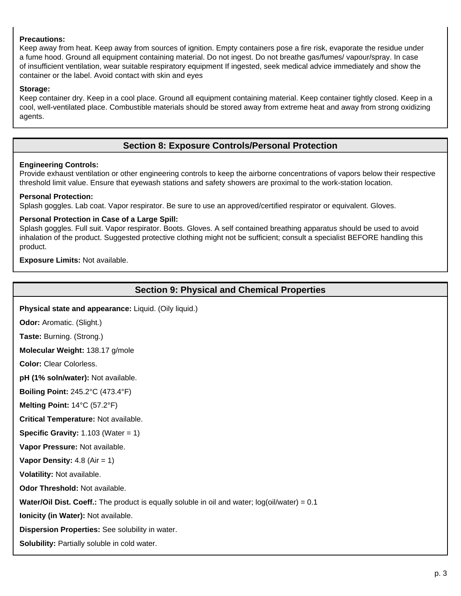### **Precautions:**

Keep away from heat. Keep away from sources of ignition. Empty containers pose a fire risk, evaporate the residue under a fume hood. Ground all equipment containing material. Do not ingest. Do not breathe gas/fumes/ vapour/spray. In case of insufficient ventilation, wear suitable respiratory equipment If ingested, seek medical advice immediately and show the container or the label. Avoid contact with skin and eyes

#### **Storage:**

Keep container dry. Keep in a cool place. Ground all equipment containing material. Keep container tightly closed. Keep in a cool, well-ventilated place. Combustible materials should be stored away from extreme heat and away from strong oxidizing agents.

# **Section 8: Exposure Controls/Personal Protection**

#### **Engineering Controls:**

Provide exhaust ventilation or other engineering controls to keep the airborne concentrations of vapors below their respective threshold limit value. Ensure that eyewash stations and safety showers are proximal to the work-station location.

#### **Personal Protection:**

Splash goggles. Lab coat. Vapor respirator. Be sure to use an approved/certified respirator or equivalent. Gloves.

#### **Personal Protection in Case of a Large Spill:**

Splash goggles. Full suit. Vapor respirator. Boots. Gloves. A self contained breathing apparatus should be used to avoid inhalation of the product. Suggested protective clothing might not be sufficient; consult a specialist BEFORE handling this product.

**Exposure Limits:** Not available.

# **Section 9: Physical and Chemical Properties**

**Physical state and appearance:** Liquid. (Oily liquid.)

**Odor:** Aromatic. (Slight.)

**Taste:** Burning. (Strong.)

**Molecular Weight:** 138.17 g/mole

**Color:** Clear Colorless.

**pH (1% soln/water):** Not available.

**Boiling Point:** 245.2°C (473.4°F)

**Melting Point:** 14°C (57.2°F)

**Critical Temperature:** Not available.

**Specific Gravity:** 1.103 (Water = 1)

**Vapor Pressure:** Not available.

**Vapor Density:** 4.8 (Air = 1)

**Volatility:** Not available.

**Odor Threshold:** Not available.

**Water/Oil Dist. Coeff.:** The product is equally soluble in oil and water; log(oil/water) = 0.1

**Ionicity (in Water):** Not available.

**Dispersion Properties:** See solubility in water.

**Solubility:** Partially soluble in cold water.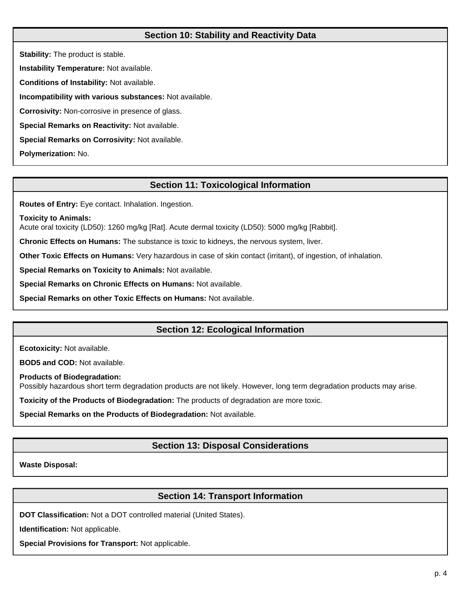# **Section 10: Stability and Reactivity Data**

**Stability:** The product is stable. **Instability Temperature:** Not available. **Conditions of Instability:** Not available. **Incompatibility with various substances:** Not available. **Corrosivity:** Non-corrosive in presence of glass. **Special Remarks on Reactivity:** Not available. **Special Remarks on Corrosivity:** Not available. **Polymerization:** No.

# **Section 11: Toxicological Information**

**Routes of Entry:** Eye contact. Inhalation. Ingestion.

**Toxicity to Animals:**

Acute oral toxicity (LD50): 1260 mg/kg [Rat]. Acute dermal toxicity (LD50): 5000 mg/kg [Rabbit].

**Chronic Effects on Humans:** The substance is toxic to kidneys, the nervous system, liver.

**Other Toxic Effects on Humans:** Very hazardous in case of skin contact (irritant), of ingestion, of inhalation.

**Special Remarks on Toxicity to Animals:** Not available.

**Special Remarks on Chronic Effects on Humans:** Not available.

**Special Remarks on other Toxic Effects on Humans:** Not available.

# **Section 12: Ecological Information**

**Ecotoxicity:** Not available.

**BOD5 and COD:** Not available.

**Products of Biodegradation:**

Possibly hazardous short term degradation products are not likely. However, long term degradation products may arise.

**Toxicity of the Products of Biodegradation:** The products of degradation are more toxic.

**Special Remarks on the Products of Biodegradation:** Not available.

# **Section 13: Disposal Considerations**

**Waste Disposal:**

# **Section 14: Transport Information**

**DOT Classification:** Not a DOT controlled material (United States).

**Identification:** Not applicable.

**Special Provisions for Transport:** Not applicable.